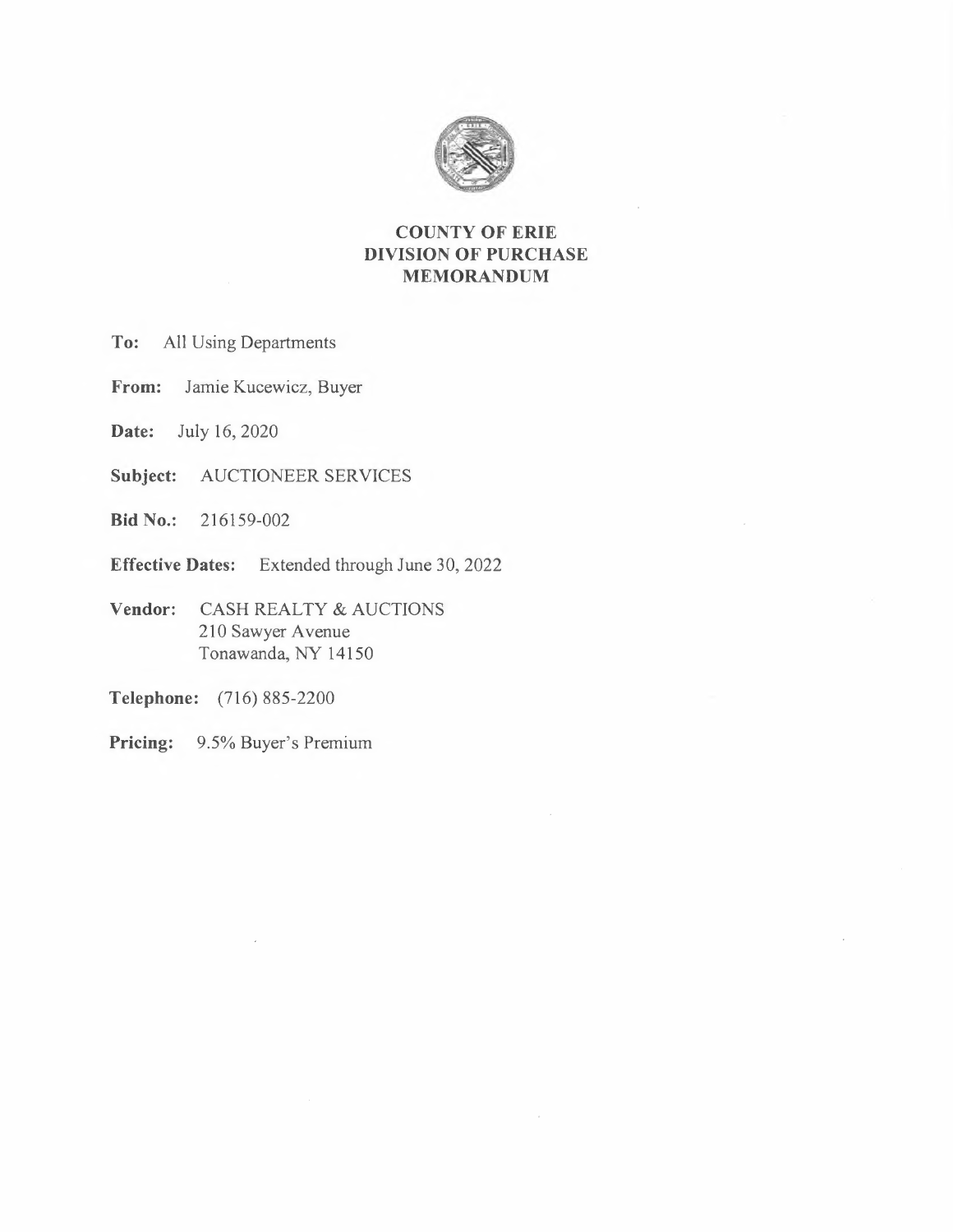

## **COUNTY OF ERIE DIVISION OF PURCHASE MEMORANDUM**

- **To:** All Using Departments
- **From:** Jamie Kucewicz, Buyer
- **Date:** July 16, 2020
- **Subject:** AUCTIONEER SERVICES
- **Bid No.:** 216159-002
- **Effective Dates:** Extended through June 30, 2022
- **Vendor:** CASH REALTY & AUCTIONS 210 Sawyer Avenue Tonawanda, NY 14150
- **Telephone:** (716) 885-2200
- **Pricing:** 9.5% Buyer's Premium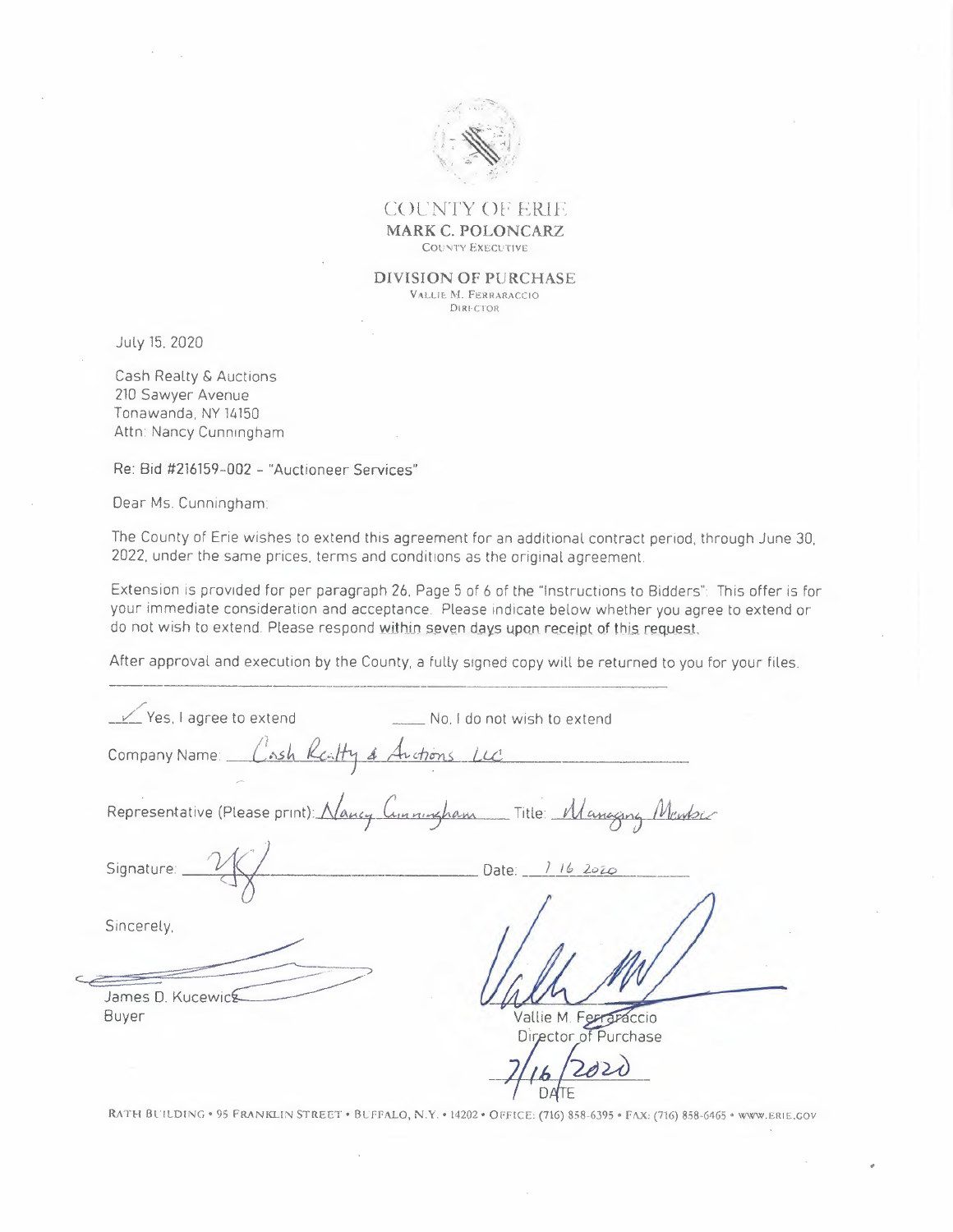

COUNTY OF ERIE **MARK C. POLONCARZ**  COUNTY EXECUTIVE

**DIVISION OF PURCHASE**  VALLIE M. FERRARACCIO DIRIFC'TOR

July 15, 2020

Cash Realty & Auctions 210 Sawyer Avenue Tonawanda, NY 14150 Attn: Nancy Cunningham

Re: Bid #216159-002- "Auctioneer Services"

Dear Ms. Cunningham

The County of Erie wishes to extend this agreement for an additional contract period, through June 30, 2022, under the same prices. terms and conditions as the original agreement.

Extension is provided for per paragraph 26, Page 5 of 6 of the "Instructions to Bidders": This offer is for your immediate consideration and acceptance. Please indicate below whether you agree to extend or do not wish to extend. Please respond within seven days upon receipt of this request.

After approval and execution by the County, a fully signed copy will be returned to you for your files.

| Yes, I agree to extend                   | No. I do not wish to extend                                            |
|------------------------------------------|------------------------------------------------------------------------|
| Company Name: Cash Realty & Auctions LLC |                                                                        |
|                                          | Representative (Please print): Nancy Commission Title: Managing Maubic |
| Signature: _                             | Date: 116 2020                                                         |
| Sincerely,                               |                                                                        |
| James D. Kucewicg                        |                                                                        |
| <b>Buyer</b>                             | Vallie M. Ferraraccio<br>Director of Purchase                          |
|                                          |                                                                        |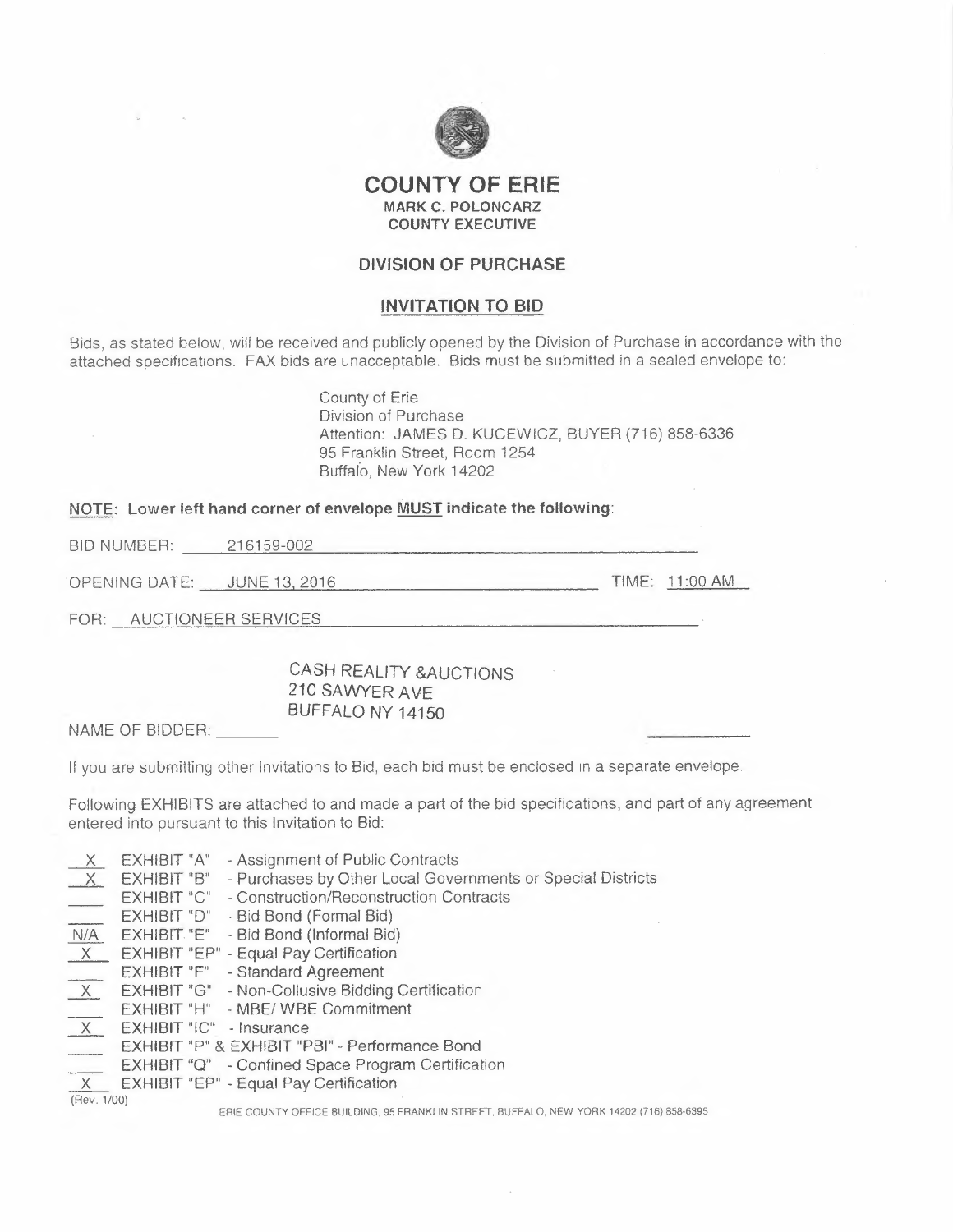

### **COUNTY OF ERIE MARK C. POLONCARZ COUNTY EXECUTIVE**

#### **DIVISION OF PURCHASE**

#### **INVITATION TO BID**

Bids, as stated below, will be received and publicly opened by the Division of Purchase in accordance with the attached specifications. FAX bids are unacceptable. Bids must be submitted in a sealed envelope to:

> County of Erie Division of Purchase Attention: JAMES D. KUCEWICZ, BUYER (716) 858-6336 95 Franklin Street, Room 1254 Buffalo, New York 14202

# **NOTE: Lower left hand corner of envelope MUST indicate the following:**  BID NUMBER: 216159-002

OPENING DATE: JUNE13.2016 TIME: 11:00 AM

FOR: AUCTIONEER SERVICES

CASH **REALITY &AUCTIONS**  210 **SAWYER AVE**  BUFFALO **NY 14150**  BID NUMBER: 216159-002<br>
OPENING DATE: JUNE 13, 2016<br>
FOR: AUCTIONEER SERVICES<br>
CASH REALITY<br>
210 SAWYER AY<br>
BUFFALO NY 14<br>
NAME OF BIDDER: \_\_\_\_\_\_\_<br>
If you are submitting other Invitations to Bid, each

If you are submitting other Invitations to Bid, each bid must be enclosed in a separate envelope.

Following EXHIBITS are attached to and made a part of the bid specifications, and part of any agreement entered into pursuant to this Invitation to Bid:

| X                                | EXHIBIT "A"<br>- Assignment of Public Contracts                            |
|----------------------------------|----------------------------------------------------------------------------|
| X                                | - Purchases by Other Local Governments or Special Districts<br>EXHIBIT "B" |
|                                  | - Construction/Reconstruction Contracts<br>EXHIBIT "C"                     |
| $\frac{1}{\sqrt{1-\frac{1}{2}}}$ | EXHIBIT "D"<br>- Bid Bond (Formal Bid)                                     |
| N/A                              | - Bid Bond (Informal Bid)<br>EXHIBIT. "E"                                  |
| X                                | <b>EXHIBIT "EP" - Equal Pay Certification</b>                              |
|                                  | - Standard Agreement<br>EXHIBIT "F"                                        |
|                                  | - Non-Collusive Bidding Certification<br>EXHIBIT "G"                       |
|                                  | - MBE/ WBE Commitment<br><b>EXHIBIT "H"</b>                                |
| $\frac{\frac{1}{x}}{1}$          | EXHIBIT "IC" - Insurance                                                   |
|                                  | EXHIBIT "P" & EXHIBIT "PBI" - Performance Bond                             |
| Q.                               | EXHIBIT "Q" - Confined Space Program Certification                         |
| $\times$                         | <b>EXHIBIT "EP" - Equal Pay Certification</b>                              |
| (Rev. 1/00)                      |                                                                            |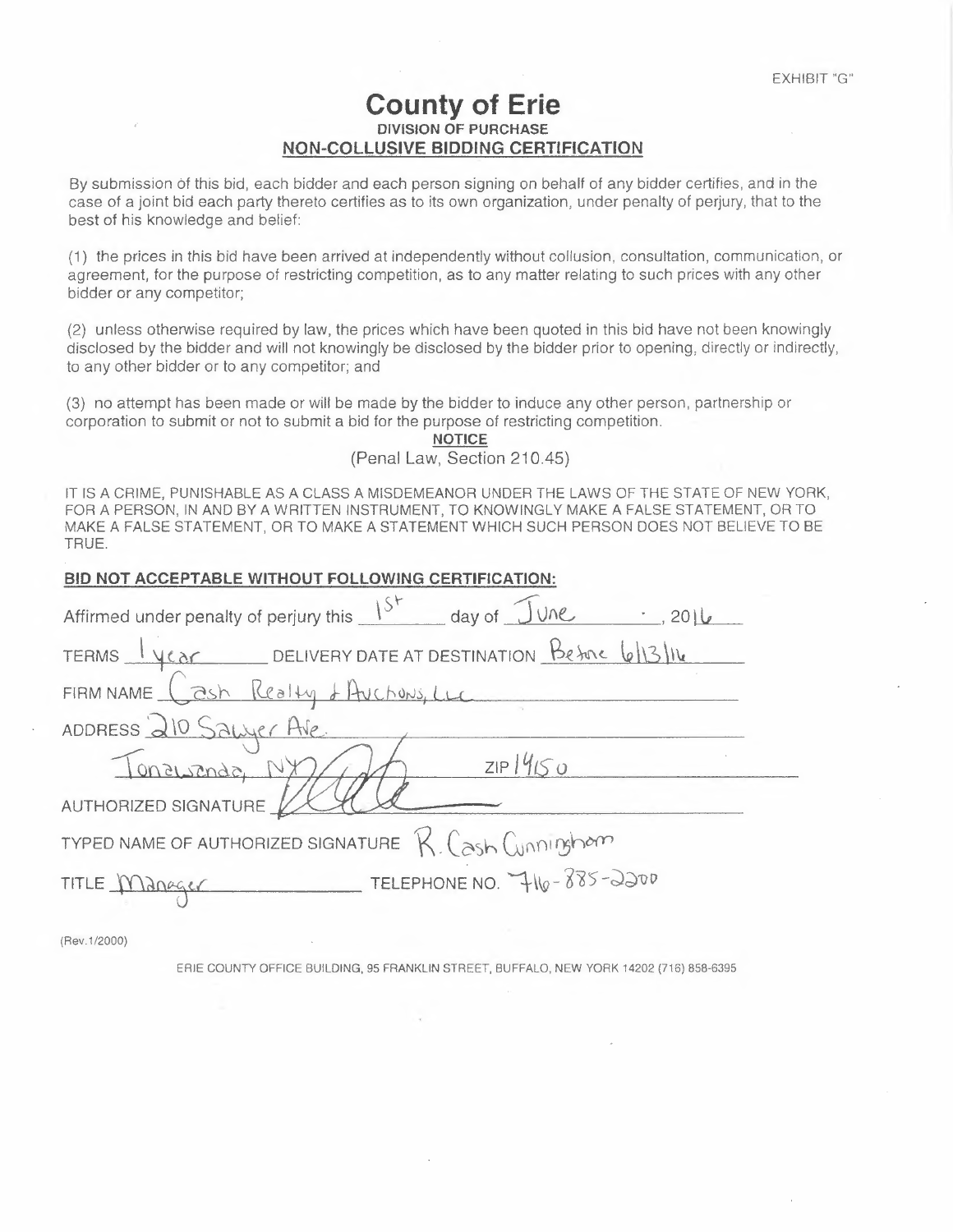## **County of Erie DIVISION OF PURCHASE NON-COLLUSIVE BIDDING CERTIFICATION**

By submission of this bid, each bidder and each person signing on behalf of any bidder certifies, and in the case of a joint bid each party thereto certifies as to its own organization, under penalty of perjury, that to the best of his knowledge and belief:

(1) the prices in this bid have been arrived at independently without collusion, consultation, communication, or agreement, for the purpose of restricting competition, as to any matter relating to such prices with any other bidder or any competitor;

(2) unless otherwise required by law, the prices which have been quoted in this bid have not been knowingly disclosed by the bidder and will not knowingly be disclosed by the bidder prior to opening, directly or indirectly, to any other bidder or to any competitor; and

(3) no attempt has been made or will be made by the bidder to induce any other person, partnership or corporation to submit or not to submit a bid for the purpose of restricting competition.

> **NOTICE**  (Penal Law, Section 210.45)

| IT IS A CRIME, PUNISHABLE AS A CLASS A MISDEMEANOR UNDER THE LAWS OF THE STATE OF NEW YO<br>FOR A PERSON, IN AND BY A WRITTEN INSTRUMENT, TO KNOWINGLY MAKE A FALSE STATEMENT, OR T<br>MAKE A FALSE STATEMENT, OR TO MAKE A STATEMENT WHICH SUCH PERSON DOES NOT BELIEVE TO<br>TRUE. |
|--------------------------------------------------------------------------------------------------------------------------------------------------------------------------------------------------------------------------------------------------------------------------------------|
| BID NOT ACCEPTABLE WITHOUT FOLLOWING CERTIFICATION:                                                                                                                                                                                                                                  |
| Affirmed under penalty of perjury this $15^+$ day of $\sqrt{2}$ Me                                                                                                                                                                                                                   |
| TERMS YEAR DELIVERY DATE AT DESTINATION BEFORE 6/13/16                                                                                                                                                                                                                               |
| FIRM NAME Cash Realty & Auchons, Luc                                                                                                                                                                                                                                                 |
| ADDRESS 210 SAWLEr AVE                                                                                                                                                                                                                                                               |
| ZIP1450<br>Tonaisman N                                                                                                                                                                                                                                                               |
| AUTHORIZED SIGNATURE                                                                                                                                                                                                                                                                 |
| TYPED NAME OF AUTHORIZED SIGNATURE $R_{\alpha}$ (ash Cunningham                                                                                                                                                                                                                      |
| TELEPHONE NO. 7416-885-2200<br>TITLE Manager                                                                                                                                                                                                                                         |
|                                                                                                                                                                                                                                                                                      |

(Rev. 1/2000)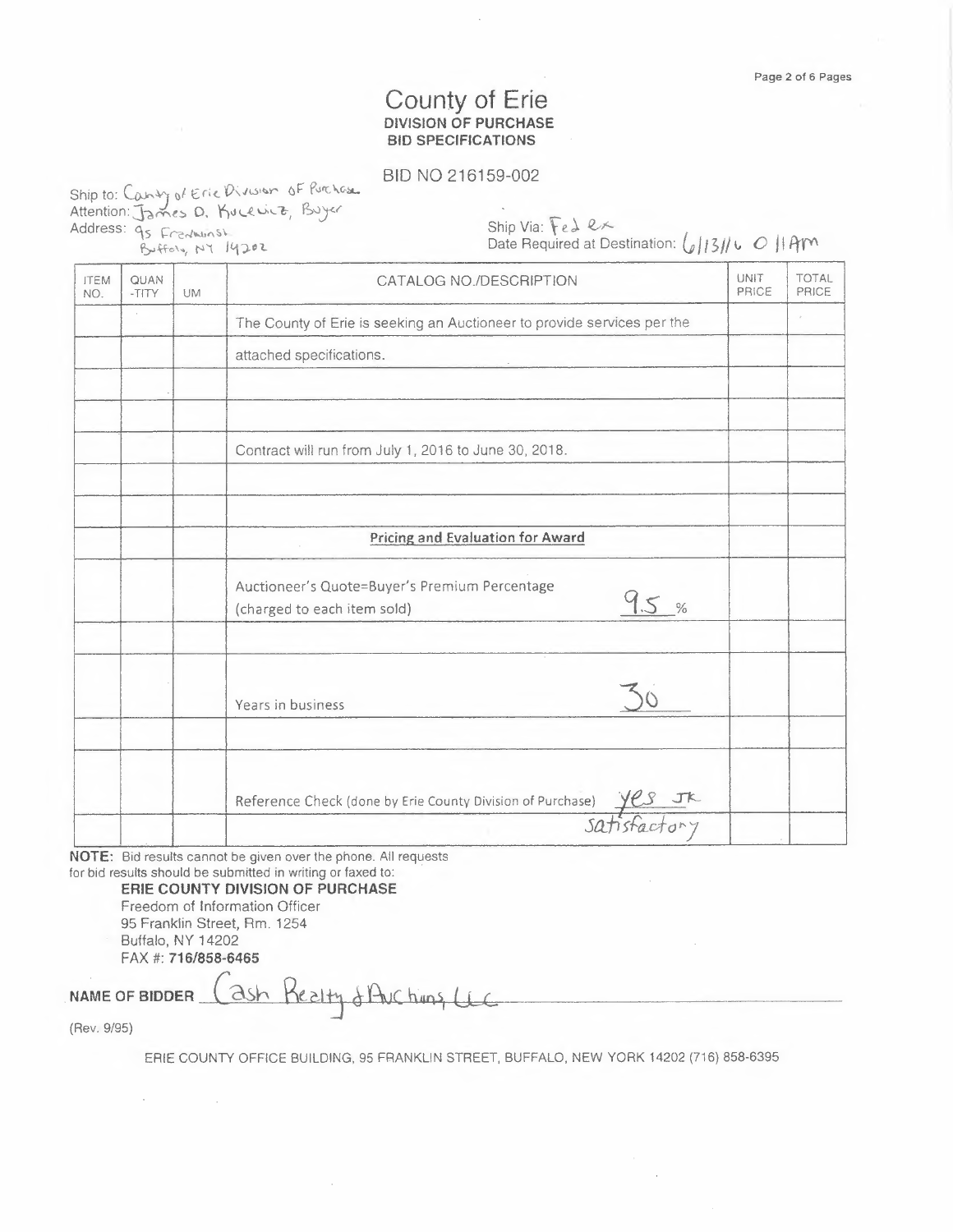## County of Erie **DIVISION OF PURCHASE BID SPECIFICATIONS**

#### BID NO 216159-002

Ship to: (Cosy *o/*€cc *DO\icssr* 6F "sos. Ship to: Canty of Eric Division of Purchase.<br>Attention: James D. Kucewicz, Buyer Address: 95 Frentwinsh re\%, pi **I43¢2** 

Ship Via: Fe 1 *Q* 

Date Required at Destination:  $(g||3||)$ **c** *O*  $||$  Arm

| <b>ITEM</b><br>NO. | QUAN<br>-TITY | UM | CATALOG NO./DESCRIPTION                                                              | UNIT<br>PRICE | <b>TOTAL</b><br>PRICE |
|--------------------|---------------|----|--------------------------------------------------------------------------------------|---------------|-----------------------|
|                    |               |    | The County of Erie is seeking an Auctioneer to provide services per the              |               |                       |
|                    |               |    | attached specifications.                                                             |               |                       |
|                    |               |    |                                                                                      |               |                       |
|                    |               |    | Contract will run from July 1, 2016 to June 30, 2018.                                |               |                       |
|                    |               |    | <b>Pricing and Evaluation for Award</b>                                              |               |                       |
|                    |               |    | Auctioneer's Quote=Buyer's Premium Percentage<br>9.5%<br>(charged to each item sold) |               |                       |
|                    |               |    |                                                                                      |               |                       |
|                    |               |    | Years in business                                                                    |               |                       |
|                    |               |    |                                                                                      |               |                       |
|                    |               |    | Reference Check (done by Erie County Division of Purchase) Yes Jk                    |               |                       |

**NOTE:** Bid results cannot be given over the phone. All requests for bid results should be submitted in writing or faxed to:

> **ERIE COUNTY DIVISION OF PURCHASE**  Freedom of Information Officer 95 Franklin Street, Rm. 1254 Buffalo, NY 14202 FAX #: **716/858-6465**

NAME OF BIDDER (ash Realty of Auchins, Li (Rev. 9/95)

 $\sigma_{\rm{max}}=0.01$  and  $\sigma_{\rm{max}}=0.1$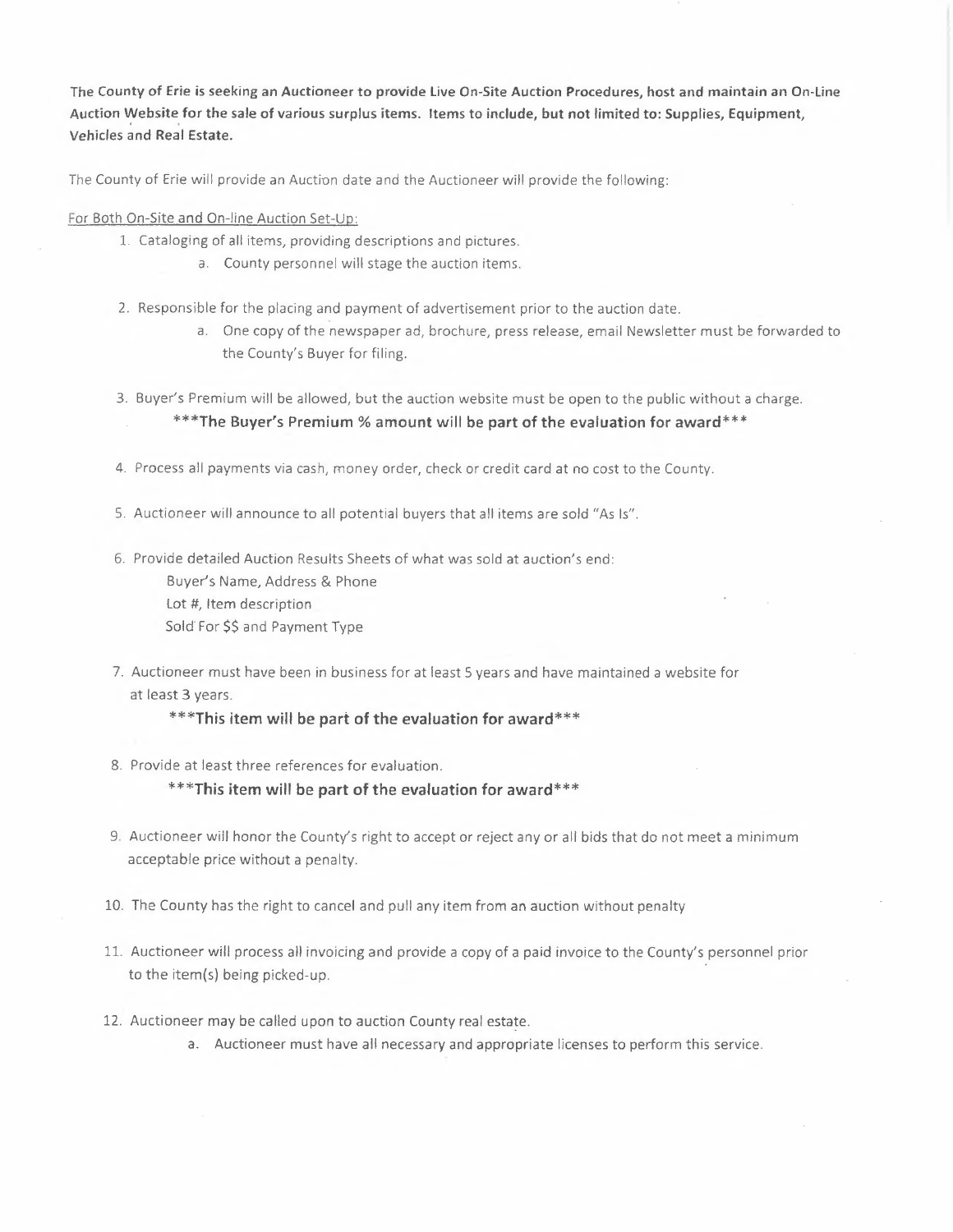**The County of Erie is seeking an Auctioneer to provide Live On-Site Auction Procedures, host and maintain an On-Line Auction Website for the sale of various surplus items. Items to include, but not limited to: Supplies, Equipment, Vehicles and Real Estate.** 

The County of Erie will provide an Auction date and the Auctioneer will provide the following:

For Both On-Site and On-line Auction Set-Up:

- 1. Cataloging of all items, providing descriptions and pictures.
	- a. County personnel will stage the auction items.
- 2. Responsible for the placing and payment of advertisement prior to the auction date.
	- a. One copy of the newspaper ad, brochure, press release, email Newsletter must be forwarded to the County's Buyer for filing.
- 3. Buyer's Premium will be allowed, but the auction website must be open to the public without a charge. \*\*\* The Buyer's Premium % amount will be part of the evaluation for award \*\*\*
- 4. Process all payments via cash, money order, check or credit card at no cost to the County.
- 5. Auctioneer will announce to all potential buyers that all items are sold "As Is".
- 6. Provide detailed Auction Results Sheets of what was sold at auction's end: Buyer's Name, Address & Phone Lot #, Item description Sold For \$\$ and Payment Type
- 7. Auctioneer must have been in business for at least 5 years and have maintained a website for at least 3 years.

\*\*\* This item will be part of the evaluation for award\*\*\*

8. Provide at least three references for evaluation.

#### \*\*\* This item will be part of the evaluation for award\*\*\*

- 9. Auctioneer will honor the County's right to accept or reject any or all bids that do not meet a minimum acceptable price without a penalty.
- 10. The County has the right to cancel and pull any item from an auction without penalty
- 11. Auctioneer will process all invoicing and provide a copy of a paid invoice to the County's personnel prior to the item(s) being picked-up.
- 12. Auctioneer may be called upon to auction County real estate.
	- a. Auctioneer must have all necessary and appropriate licenses to perform this service.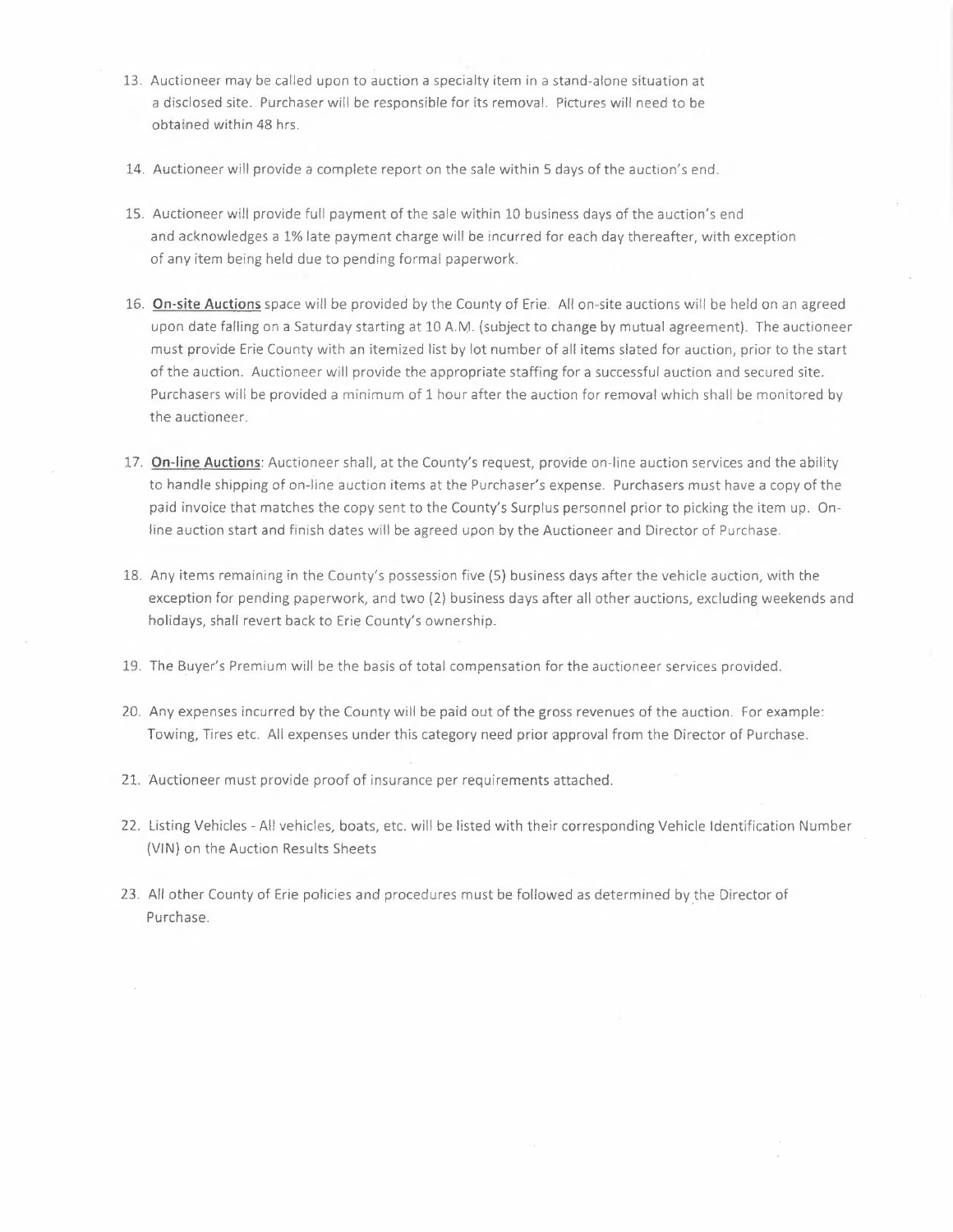- 13. Auctioneer may be called upon to auction a specialty item in a stand-alone situation at a disclosed site. Purchaser will be responsible for its removal. Pictures will need to be obtained within 48 hrs.
- 14. Auctioneer will provide a complete report on the sale within S days of the auction's end.
- 15. Auctioneer will provide full payment of the sale within 10 business days of the auction's end and acknowledges a 1% late payment charge will be incurred for each day thereafter, with exception of any item being held due to pending formal paperwork.
- 16. **On-site Auctions** space will be provided by the County of Erie. All on-site auctions will be held on an agreed upon date falling on a Saturday starting at 10 A.M. (subject to change by mutual agreement). The auctioneer must provide Erie County with an itemized list by lot number of all items slated for auction, prior to the start of the auction. Auctioneer will provide the appropriate staffing for a successful auction and secured site. Purchasers will be provided a minimum of 1 hour after the auction for removal which shall be monitored by the auctioneer.
- 17. **On-line Auctions:** Auctioneer shall, at the County's request, provide on-line auction services and the ability to handle shipping of on-line auction items at the Purchaser's expense. Purchasers must have a copy of the paid invoice that matches the copy sent to the County's Surplus personnel prior to picking the item up. Online auction start and finish dates will be agreed upon by the Auctioneer and Director of Purchase.
- 18. Any items remaining in the County's possession five (S) business days after the vehicle auction, with the exception for pending paperwork, and two (2) business days after all other auctions, excluding weekends and holidays, shall revert back to Erie County's ownership.
- 19. The Buyer's Premium will be the basis of total compensation for the auctioneer services provided.
- 20. Any expenses incurred by the County will be paid out of the gross revenues of the auction. For example: Towing, Tires etc. All expenses under this category need prior approval from the Director of Purchase.
- 21. Auctioneer must provide proof of insurance per requirements attached.
- 22. Listing Vehicles All vehicles, boats, etc. will be listed with their corresponding Vehicle Identification Number (VIN) on the Auction Results Sheets
- 23. All other County of Erie policies and procedures must be followed as determined by the Director of Purchase.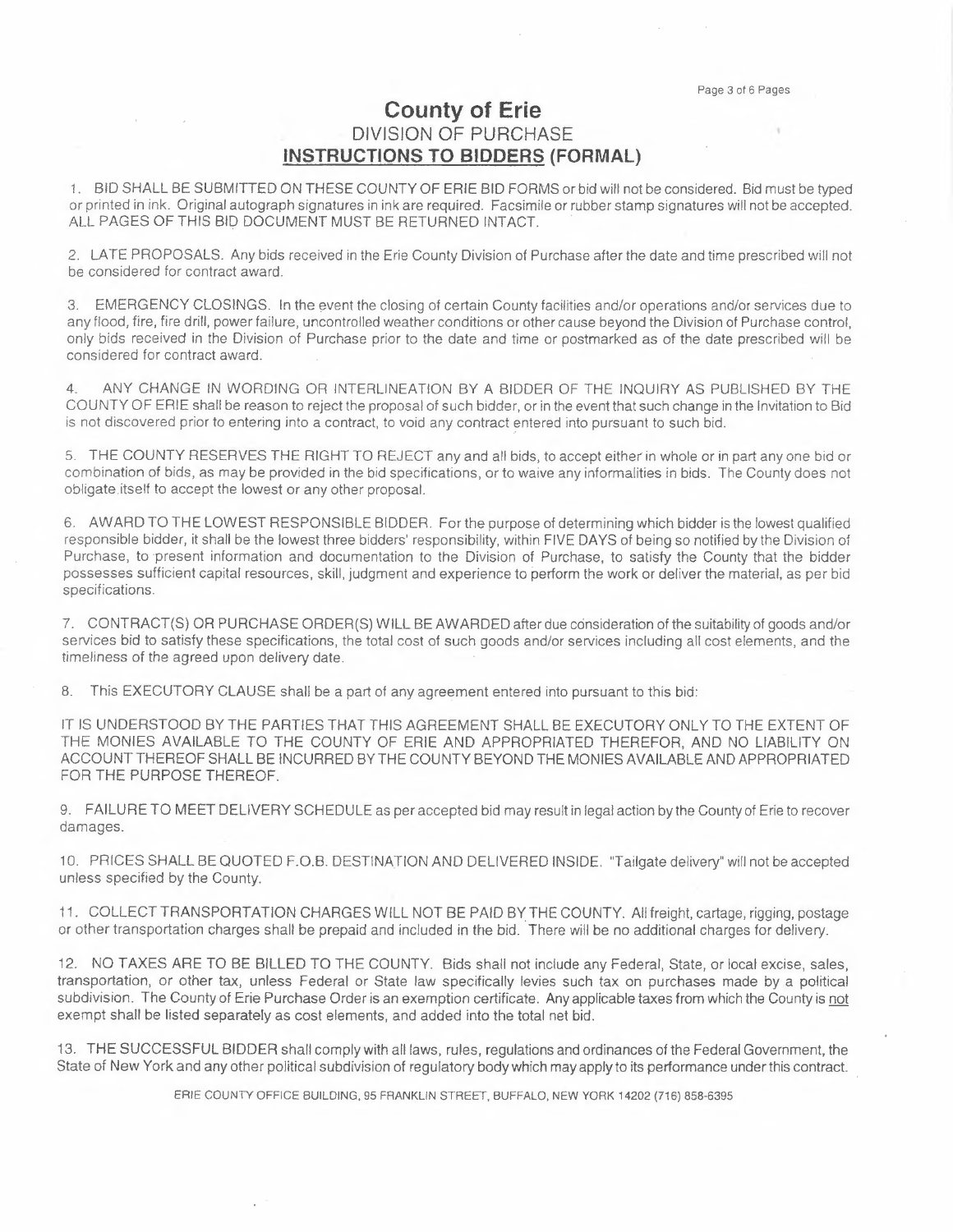## **County of Erie**  DIVISION OF PURCHASE **INSTRUCTIONS TO BIDDERS (FORMAL)**

1. BID SHALL BE SUBMITTED ON THESE COUNTY OF ERIE BID FORMS or bid will not be considered. Bid must be typed or printed in ink. Original autograph signatures in ink are required. Facsimile or rubber stamp signatures will not be accepted. DIVISION OF PURCHASE<br>
1. BID SHALL BE SUBMITTED ON THESE COUNTY OF ERIE BID FORMS or bid will no<br>
or printed in ink. Original autograph signatures in ink are required. Facsimile or rubber star<br>
ALL PAGES OF THIS BID DOCUME

2. LA TE PROPOSALS. Any bids received in the Erie County Division of Purchase after the date and time prescribed will not be considered for contract award.

3. EMERGENCY CLOSINGS. In the event the closing of certain County facilities and/or operations and/or services due to any flood, fire, fire drill, power failure, uncontrolled weather conditions or other cause beyond the Division of Purchase control, only bids received in the Division of Purchase prior to the date and time or postmarked as of the date prescribed will be considered for contract award.

4. ANY CHANGE IN WORDING OR INTERLINEATION BY A BIDDER OF THE INQUIRY AS PUBLISHED BY THE COUNTY OF ERIE shall be reason to reject the proposal of such bidder, or in the event that such change in the Invitation to Bid is not discovered prior to entering into a contract, to void any contract entered into pursuant to such bid.

5. THE COUNTY RESERVES THE RIGHT TO REJECT any and all bids, to accept either in whole or in part any one bid or combination of bids, as may be provided in the bid specifications, or to waive any informalities in bids. The County does not obligate itself to accept the lowest or any other proposal.

6. AWARD TO THE LOWEST RESPONSIBLE BIDDER. For the purpose of determining which bidder is the lowest qualified responsible bidder, it shall be the lowest three bidders' responsibility, within FIVE DAYS of being so notified by the Division of Purchase, to present information and documentation to the Division of Purchase, to satisfy the County that the bidder possesses sufficient capital resources, skill, judgment and experience to perform the work or deliver the material, as per bid specifications.

7. CONTRACT(S) OR PURCHASE ORDER(S) WILL BE AWARDED after due consideration of the suitability of goods and/or services bid to satisfy these specifications, the total cost of such goods and/or services including all cost elements, and the timeliness of the agreed upon delivery date.

8. This EXECUTORY CLAUSE shall be a part of any agreement entered into pursuant to this bid:

IT IS UNDERSTOOD BY THE PARTIES THAT THIS AGREEMENT SHALL BE EXECUTORY ONLY TO THE EXTENT OF THE MONIES AVAILABLE TO THE COUNTY OF ERIE AND APPROPRIATED THEREFOR, AND NO LIABILITY ON ACCOUNT THEREOF SHALL BE INCURRED BY THE COUNTY BEYOND THE MONIES AVAILABLE AND APPROPRIATED FOR THE PURPOSE THEREOF.

9. FAILURE TO MEET DELIVERY SCHEDULE as per accepted bid may result in legal action by the County of Erie to recover damages.

10. PRICES SHALL BE QUOTED F.O.B. DESTINATION AND DELIVERED INSIDE. "Tailgate delivery" will not be accepted unless specified by the County.

11. COLLECT TRANSPORTATION CHARGES WILL NOT BE PAID BY THE COUNTY. All freight, cartage, rigging, postage or other transportation charges shall be prepaid and included in the bid. There will be no additional charges for delivery.

12. NO TAXES ARE TO BE BILLED TO THE COUNTY. Bids shall not include any Federal, State, or local excise, sales, transportation, or other tax, unless Federal or State law specifically levies such tax on purchases made by a political subdivision. The County of Erie Purchase Order is an exemption certificate. Any applicable taxes from which the County is not exempt shall be listed separately as cost elements, and added into the total net bid.

13. THE SUCCESSFUL BIDDER shall comply with all laws, rules, regulations and ordinances of the Federal Government, the State of New York and any other political subdivision of regulatory body which may apply to its performance under this contract.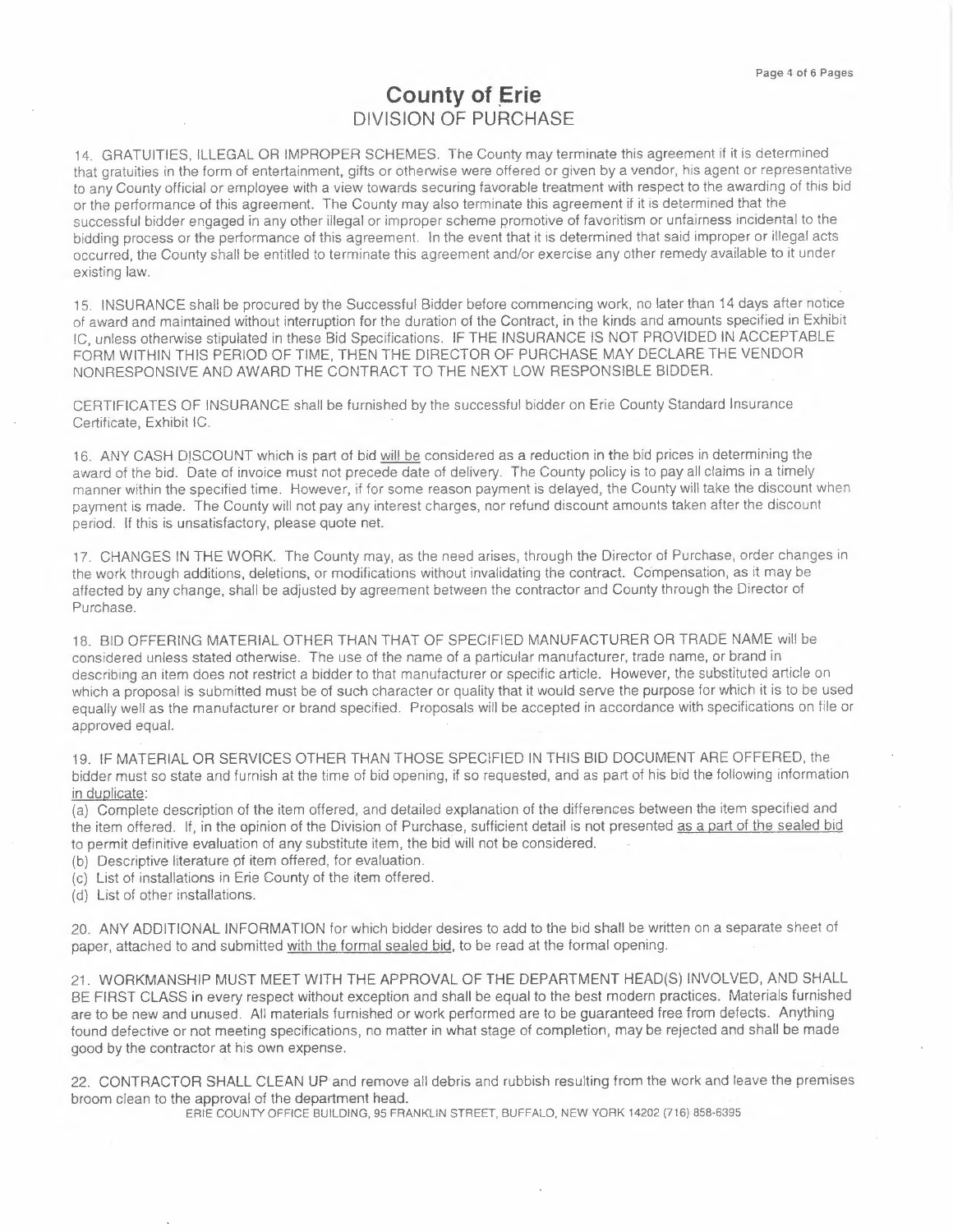## **County of Erie**  DIVISION OF PURCHASE

14. GRATUITIES, ILLEGAL OR IMPROPER SCHEMES. The County may terminate this agreement if it is determined that gratuities in the form of entertainment, gifts or otherwise were offered or given by a vendor, his agent or representative to any County official or employee with a view towards securing favorable treatment with respect to the awarding of this bid or the performance of this agreement. The County may also terminate this agreement if it is determined that the successful bidder engaged in any other illegal or improper scheme promotive of favoritism or unfairness incidental to the bidding process or the performance of this agreement. In the event that it is determined that said improper or illegal acts occurred, the County shall be entitled to terminate this agreement and/or exercise any other remedy available to it under existing law.

15. INSURANCE shall be procured by the Successful Bidder before commencing work, no later than 14 days after notice of award and maintained without interruption for the duration of the Contract, in the kinds and amounts specified in Exhibit IC, unless otherwise stipulated in these Bid Specifications. IF THE INSURANCE IS NOT PROVIDED IN ACCEPTABLE FORM WITHIN THIS PERIOD OF TIME, THEN THE DIRECTOR OF PURCHASE. MAY DECLARE THE VENDOR NONRESPONSIVE AND AWARD THE CONTRACT TO THE NEXT LOW RESPONSIBLE BIDDER.

CERTIFICATES OF INSURANCE shall be furnished by the successful bidder on Erie County Standard Insurance Certificate, Exhibit IC.

16. ANY CASH DISCOUNT which is part of bid will be considered as a reduction in the bid prices in determining the award of the bid. Date of invoice must not precede date of delivery. The County policy is to pay all claims in a timely manner within the specified time. However, if for some reason payment is delayed, the County will take the discount when payment is made. The County will not pay any interest charges, nor refund discount amounts taken after the discount period. If this is unsatisfactory, please quote net.

17. CHANGES IN THE WORK. The County may, as the need arises, through the Director of Purchase, order changes in the work through additions, deletions, or modifications without invalidating the contract. Compensation, as it may be affected by any change, shall be adjusted by agreement between the contractor and County through the Director of Purchase.

18. BID OFFERING MATERIAL OTHER THAN THAT OF SPECIFIED MANUFACTURER OR TRADE NAME will be considered unless stated otherwise. The use of the name of a particular manufacturer, trade name, or brand in describing an item does not restrict a bidder to that manufacturer or specific article. However, the substituted article on which a proposal is submitted must be of such character or quality that it would *serve* the purpose for which it is to be used equally well as the manufacturer or brand specified. Proposals will be accepted in accordance with specifications on file or approved equal.

19. IF MATERIAL OR SERVICES OTHER THAN THOSE SPECIFIED IN THIS BID DOCUMENT ARE OFFERED, the bidder must so state and furnish at the time of bid opening, if so requested, and as part of his bid the following information in duplicate:

(a) Complete description of the item offered, and detailed explanation of the differences between the item specified and the item offered. If, in the opinion of the Division of Purchase, sufficient detail is not presented as a part of the sealed bid to permit definitive evaluation of any substitute item, the bid will not be considered.

- (b) Descriptive literature of item offered, for evaluation.
- (c) List of installations in Erie County of the item offered.
- (d) List of other installations.

20. ANY ADDITIONAL INFORMATION for which bidder desires to add to the bid shall be written on a separate sheet of paper, attached to and submitted with the formal sealed bid, to be read at the formal opening.

21. WORKMANSHIP MUST MEET WITH THE APPROVAL OF THE DEPARTMENT HEAD(S) INVOLVED, AND SHALL BE FIRST CLASS in every respect without exception and shall be equal to the best modern practices. Materials furnished *are* to be new and unused. All materials furnished or work performed are to be guaranteed free from defects. Anything found defective or not meeting specifications, no matter in what stage of completion, may be rejected and shall be made good by the contractor at his own expense.

22. CONTRACTOR SHALL CLEAN UP and remove all debris and rubbish resulting from the work and leave the premises broom clean to the approval of the department head.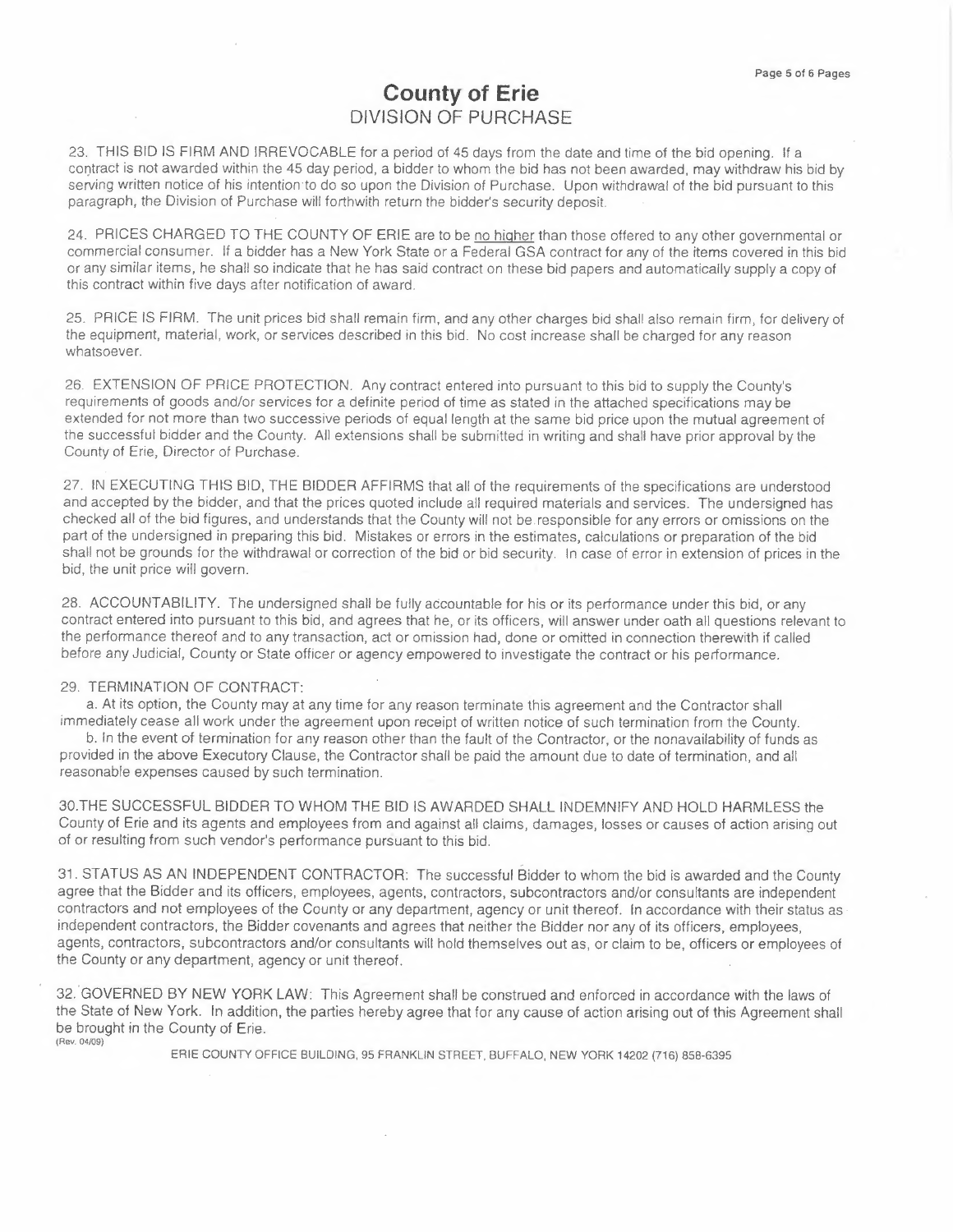## **County of Erie**  DIVISION OF PURCHASE

23. THIS BID IS FIRM AND IRREVOCABLE for a period of 45 days from the date and time of the bid opening. If a contract is not awarded within the 45 day period, a bidder to whom the bid has not been awarded, may withdraw his bid by serving written notice of his intention to do so upon the Division *of* Purchase. Upon withdrawal of the bid pursuant to this paragraph, the Division of Purchase will forthwith return the bidder's security deposit.

24. PRICES CHARGED TO THE COUNTY OF ERIE are to be no higher than those offered to any other governmental or commercial consumer. If a bidder has a New York State or a Federal GSA contract for any of the items covered in this bid or any similar items, he shall so indicate that he has said contract on these bid papers and automatically supply a copy of this contract within five days after notification of award.

25. PRICE IS FIRM. The unit prices bid shall remain firm, and any other charges bid shall also remain firm, for delivery of the equipment, material, work, or services described in this bid. No cost increase shall be charged for any reason whatsoever.

26. EXTENSION OF PRICE PROTECTION. Any contract entered into pursuant to this bid to supply the County's requirements of goods and/or services for a definite period of time as stated in the attached specifications may be extended for not more than two successive periods of equal length at the same bid price upon the mutual agreement of the successful bidder and the County. All extensions shall be submitted in writing and shall have prior approval by the County of Erie, Director of Purchase.

27. IN EXECUTING THIS BID, THE BIDDER AFFIRMS that all of the requirements of the specifications are understood and accepted by the bidder, and that the prices quoted include all required materials and services. The undersigned has checked all of the bid figures, and understands that the County will not be.responsible for any errors or omissions on the part of the undersigned in preparing this bid. Mistakes or errors in the estimates, calculations or preparation of the bid shall not be grounds for the withdrawal or correction of the bid or bid security. In case of error in extension of prices in the bid, the unit price will govern.

28. ACCOUNT ABILITY. The undersigned shall be fully accountable for his or its performance under this bid, or any contract entered into pursuant to this bid, and agrees that he, or its officers, will answer under oath all questions relevant to the performance thereof and to any transaction, act or omission had, done or omitted in connection therewith if called before any Judicial, County or State officer or agency empowered to investigate the contract or his performance.

#### 29. TERMINATION OF CONTRACT:

a. At its option, the County may at any time for any reason terminate this agreement and the Contractor shall immediately cease all work under the agreement upon receipt of written notice of such termination from the County.

b. In the event of termination for any reason other than the fault of the Contractor, or the nonavailability of funds as provided in the above Executory Clause, the Contractor shall be paid the amount due to date of termination, and all reasonable expenses caused by such termination.

30.THE SUCCESSFUL BIDDER TO WHOM THE BID IS AWARDED SHALL INDEMNIFY AND HOLD HARMLESS the County of Erie and its agents and employees from and against all claims, damages, losses or causes of action arising out of or resulting from such vendor's performance pursuant to this bid.

31. STATUS AS AN INDEPENDENT CONTRACTOR: The successful Bidder to whom the bid is awarded and the County agree that the Bidder and its officers, employees, agents, contractors, subcontractors and/or consultants are independent contractors and not employees of the County or any department, agency or unit thereof. In accordance with their status as independent contractors, the Bidder covenants and agrees that neither the Bidder nor *any* of its officers, employees, agents, contractors, subcontractors and/or consultants will hold themselves out as, or claim to be, officers or employees of the County or any department, agency or unit thereof.

32. GOVERNED BY NEW YORK LAW: This Agreement shall be construed and enforced in accordance with the laws of the State of New York. In addition, the parties hereby agree that for any cause of action arising out of this Agreement shall be brought in the County of Erie. (Rev. 04/09)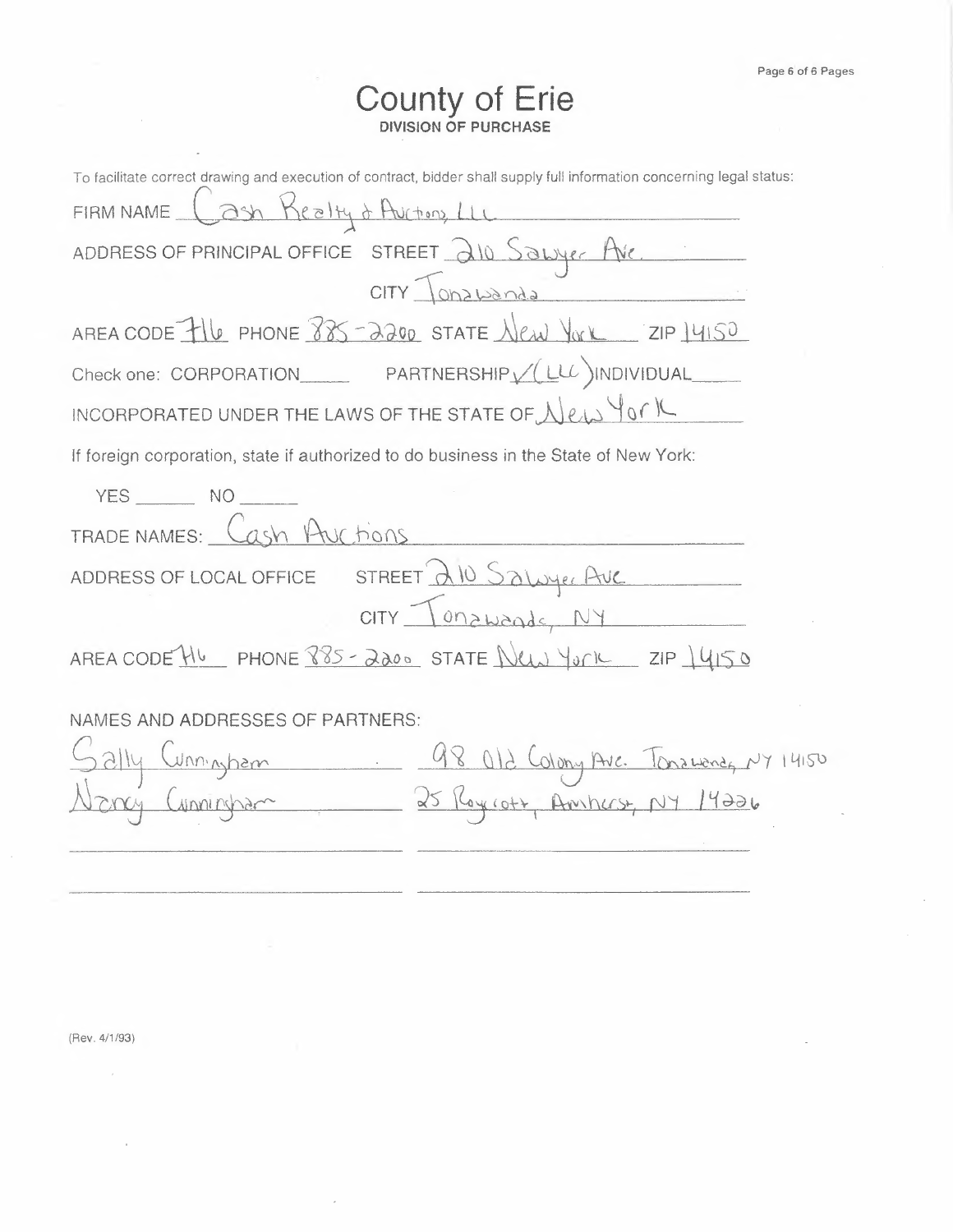## **County of Erie DIVISION OF PURCHASE**

| To facilitate correct drawing and execution of contract, bidder shall supply full information concerning legal status: |
|------------------------------------------------------------------------------------------------------------------------|
| FIRM NAME Cash Realty & Auctions, LLL                                                                                  |
| ADDRESS OF PRINCIPAL OFFICE STREET 210 SOLUYER AVE                                                                     |
|                                                                                                                        |
| AREA CODE TILO PHONE 885-2200 STATE New YORK ZIP 14150                                                                 |
| Check one: CORPORATION EXAMPLE PARTNERSHIP VILLE INDIVIDUAL                                                            |
| INCORPORATED UNDER THE LAWS OF THE STATE OF New York                                                                   |
| If foreign corporation, state if authorized to do business in the State of New York:                                   |
| $YES$ $NO$                                                                                                             |
| TRADE NAMES: Cash Auctions                                                                                             |
| ADDRESS OF LOCAL OFFICE STREET A 10 Saluyer Ave                                                                        |
|                                                                                                                        |
| AREA CODE HU PHONE 885-2200 STATE New York ZIP 14150                                                                   |
|                                                                                                                        |
| NAMES AND ADDRESSES OF PARTNERS:                                                                                       |
|                                                                                                                        |
| Sally Cunningham 98 012 Colony Ave. Tonawaneg NY 14150<br>Nevey Cunningham 25 Roycott, Amherst, NY 14226               |
|                                                                                                                        |
|                                                                                                                        |

(Rev. 4/1/93)

 $\bar{z}$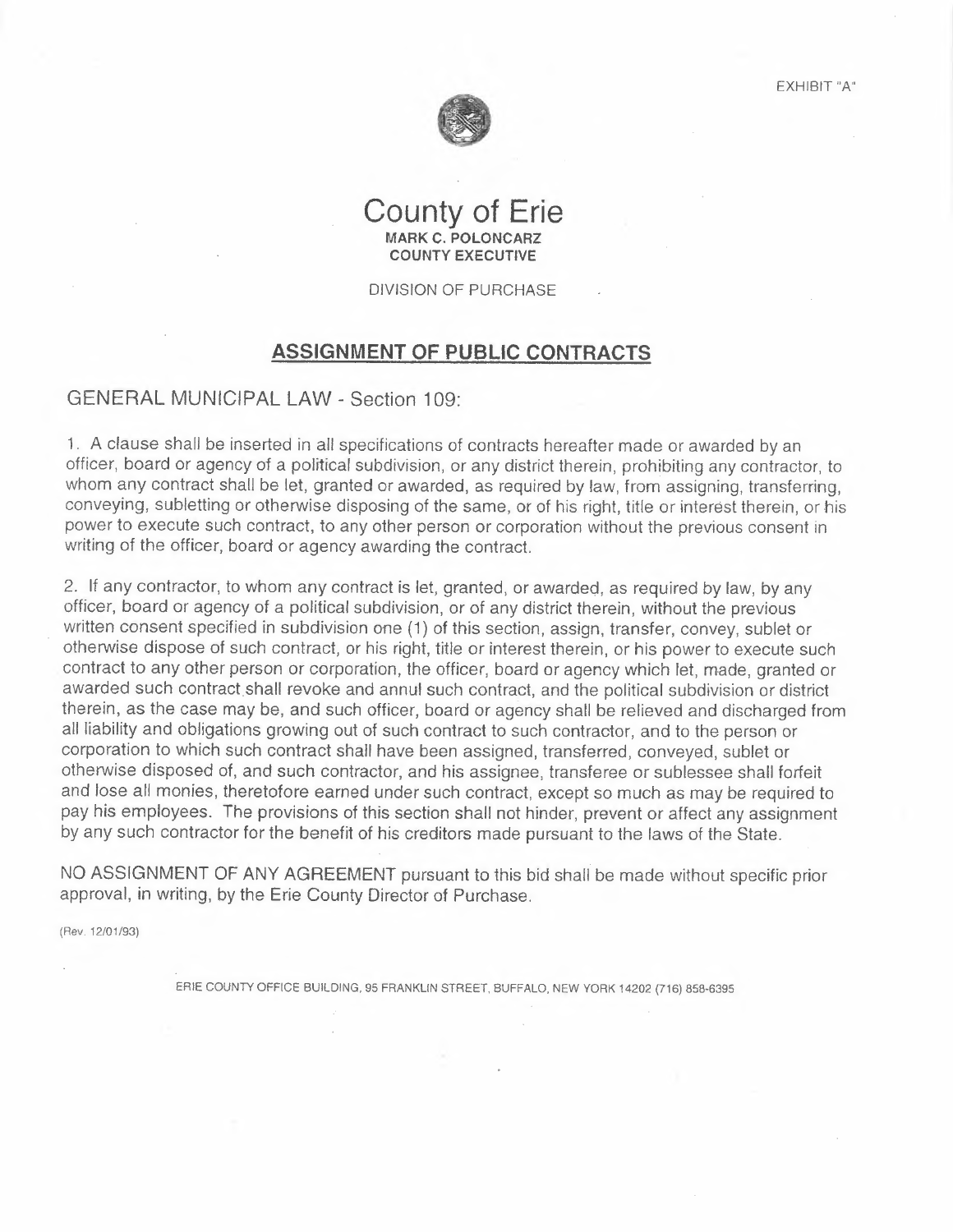EXHIBIT "A"

## **County of Erie MARK C. POLONCARZ COUNTY EXECUTIVE**

#### DIVISION OF PURCHASE

## **ASSIGNMENT OF PUBLIC CONTRACTS**

## GENERAL MUNICIPAL LAW - Section 109:

1. A clause shall be inserted in all specifications of contracts hereafter made or awarded by an officer, board or agency of a political subdivision, or any district therein, prohibiting any contractor, to whom any contract shall be let, granted or awarded, as required by law, from assigning, transferring, conveying, subletting or otherwise disposing of the same, or of his right, title or interest therein, or his power to execute such contract, to any other person or corporation without the previous consent in writing of the officer, board or agency awarding the contract.

2. If any contractor, to whom any contract is let, granted, or awarded, as required by law, by any officer, board or agency of a political subdivision, or of any district therein, without the previous written consent specified in subdivision one (1) of this section, assign, transfer, convey, sublet or otherwise dispose of such contract, or his right, title or interest therein, or his power to execute such contract to any other person or corporation, the officer, board or agency which let, made, granted or awarded such contract shall revoke and annul such contract, and the political subdivision or district therein, as the case may be, and such officer, board or agency shall be relieved and discharged from all liability and obligations growing out of such contract to such contractor, and to the person or corporation to which such contract shall have been assigned, transferred, conveyed, sublet or otherwise disposed of, and such contractor, and his assignee, transferee or sub lessee shall forfeit and lose all monies, theretofore earned under such contract, except so much as may be required to pay his employees. The provisions of this section shall not hinder, prevent or affect any assignment by any such contractor for the benefit of his creditors made pursuant to the laws of the State.

NO ASSIGNMENT OF ANY AGREEMENT pursuant to this bid shall be made without specific prior approval, in writing, by the Erie County Director of Purchase.

(Rev. 12/0 1/93)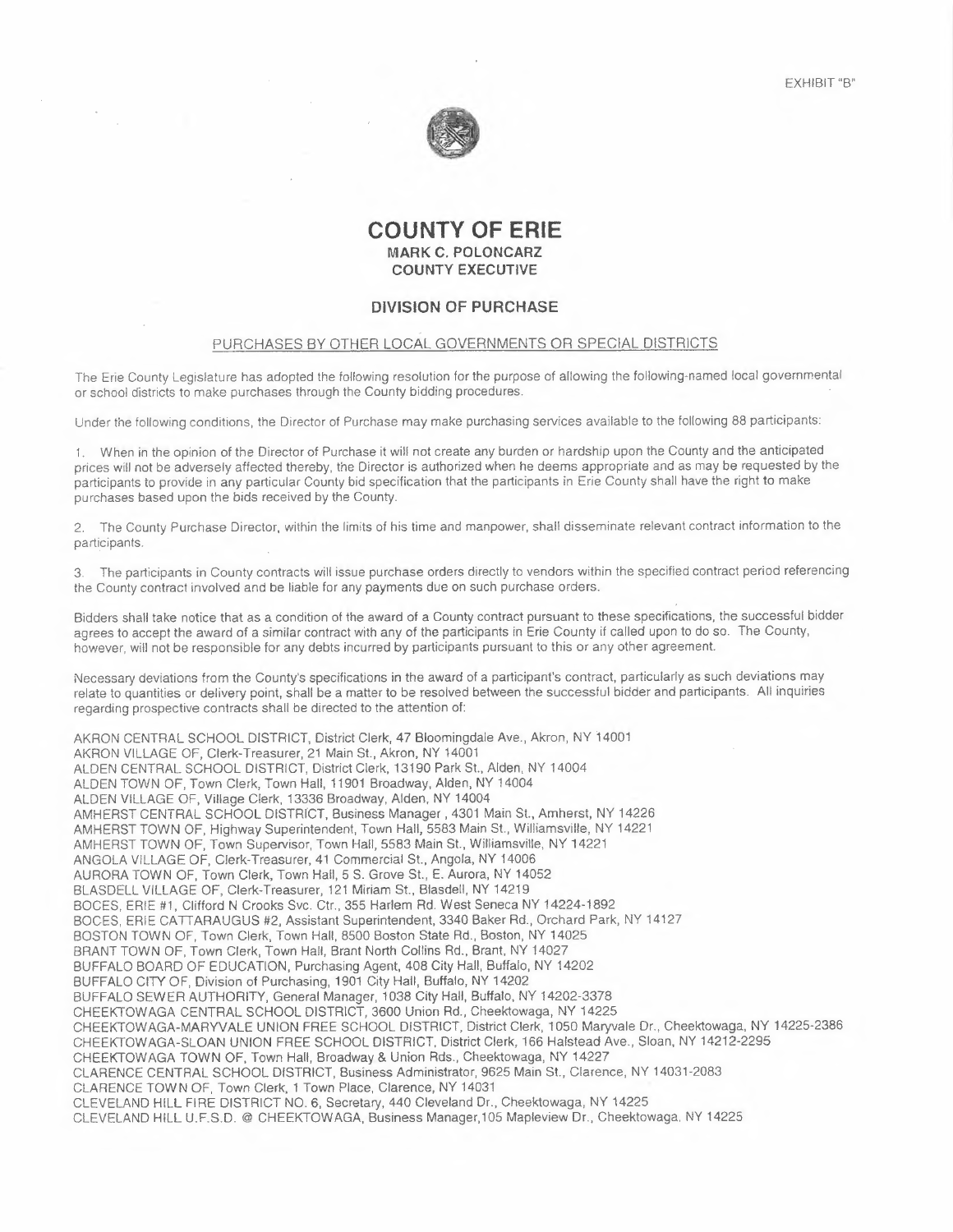



 $\sim$ 

### **COUNTY OF ERIE MARK C. POLONCARZ COUNTY EXECUTIVE**

#### **DIVISION OF PURCHASE**

#### PURCHASES BY OTHER LOCAL GOVERNMENTS OR SPECIAL DISTRICTS

The Erie County Legislature has adopted the following resolution for the purpose of allowing the following-named local governmental or school districts to make purchases through the County bidding procedures.

Under the following conditions, the Director of Purchase may make purchasing services available to the following 88 participants:

1. When in the opinion of the Director of Purchase it will not create any burden or hardship upon the County and the anticipated prices will not be adversely affected thereby, the Director is authorized when he deems appropriate and as may be requested by the participants to provide in any particular County bid specification that the participants in Erie County shall have the right to make purchases based upon the bids received by the County.

2. The County Purchase Director, within the limits of his time and manpower, shall disseminate relevant contract information to the participants.

3. The participants in County contracts will issue purchase orders directly to vendors within the specified contract period referencing the County contract involved and be liable for any payments due on such purchase orders.

Bidders shall take notice that as a condition of the award of a County contract pursuant to these specifications, the successful bidder agrees to accept the award of a similar contract with any of the participants in Erie County if called upon to do so. The County, however, will not be responsible for any debts incurred by participants pursuant to this or any other agreement.

Necessary deviations from the County's specifications in the award of a participant's contract, particularly as such deviations may relate to quantities or delivery point, shall be a matter to be resolved between the successful bidder and participants. All inquiries regarding prospective contracts shall be directed to the attention of:

AKRON CENTRAL SCHOOL DISTRICT, District Clerk, 47 Bloomingdale Ave., Akron, NY 14001 AKRON VILLAGE OF, Clerk-Treasurer, 21 Main St., Akron, NY 14001 ALDEN CENTRAL SCHOOL DISTRICT, District Clerk, 13190 Park St., Alden, NY 14004 ALDEN TOWN OF, Town Clerk, Town Hall, 11901 Broadway, Alden, NY 14004 ALDEN VILLAGE OF, Village Clerk, 13336 Broadway, Alden, NY 14004 AMHERST CENTRAL SCHOOL DISTRICT, Business Manager, 4301 Main St., Amherst, NY 14226 AMHERST TOWN OF, Highway Superintendent, Town Hall, 5583 Main St., Williamsville, NY 14221 AMHERST TOWN OF, Town Supervisor, Town Hall, 5583 Main St., Williamsville, NY 14221 ANGOLA VILLAGE OF, Clerk-Treasurer, 41 Commercial St., Angola, NY 14006 AURORA TOWN OF, Town Clerk, Town Hall, 5 S. Grove St., E. Aurora, NY 14052 BLASDELL VILLAGE OF, Clerk-Treasurer, 121 Miriam St., Blasdell, NY 14219 BOCES, ERIE #1, Clifford N Crooks Svc. Ctr., 355 Harlem Rd. West Seneca NY 14224-1892 BOCES, ERIE CATTARAUGUS #2, Assistant Superintendent, 3340 Baker Rd., Orchard Park, NY 14127 BOSTON TOWN OF, Town Clerk, Town Hall, 8500 Boston State Rd., Boston, NY 14025 BRANT TOWN OF, Town Clerk, Town Hall, Brant North Collins Rd., Brant, NY 14027 BUFFALO BOARD OF EDUCATION, Purchasing Agent, 408 City Hall, Buffalo, NY 14202 BUFFALO CITY OF, Division of Purchasing, 1901 City Hall, Buffalo, NY 14202 BUFFALO SEWER AUTHORITY, General Manager, 1038 City Hall, Buffalo, NY 14202-3378 CHEEKTOWAGA CENTRAL SCHOOL DISTRICT, 3600 Union Rd., Cheektowaga, NY 14225 CHEEKTOWAGA-MARYVALE UNION FREE SCHOOL DISTRICT, District Clerk, 1050 Maryvale Dr., Cheektowaga, NY 14225-2386 CHEEKTOWAGA-SLOAN UNION FREE SCHOOL DISTRICT, District Clerk, 166 Halstead Ave., Sloan, NY 14212-2295 CHEEKTOWAGA TOWN OF, Town Hall, Broadway & Union Rds., Cheektowaga, NY 14227 CLARENCE CENTRAL SCHOOL DISTRICT, Business Administrator, 9625 Main St., Clarence, NY 14031-2083 CLARENCE TOWN OF, Town Clerk, 1 Town Place, Clarence, NY 14031 CLEVELAND HILL FIRE DISTRICT NO. 6, Secretary, 440 Cleveland Dr., Cheektowaga, NY 14225 CLEVELAND HILL UF.S.D. @ CHEEKTOWAGA, Business Manager,105 Mapleview Dr., Cheektowaga, NY 14225